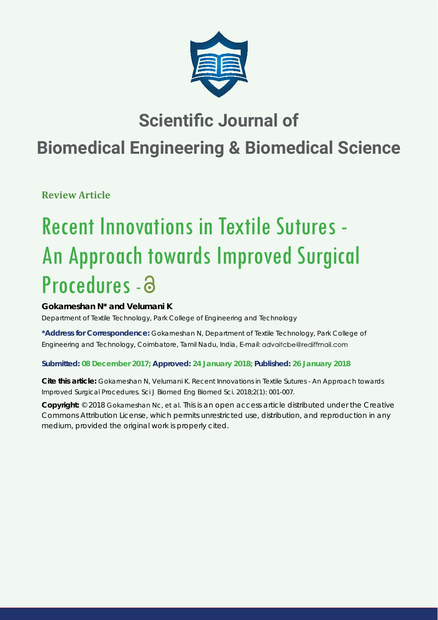

# **Scientific Journal of**

# **Biomedical Engineering & Biomedical Science**

**Review Article**

# Recent Innovations in Textile Sutures - An Approach towards Improved Surgical Procedures - a

## **Gokarneshan N\* and Velumani K**

*Department of Textile Technology, Park College of Engineering and Technology*

**\*Address for Correspondence:** Gokarneshan N, Department of Textile Technology, Park College of Engineering and Technology, Coimbatore, Tamil Nadu, India, E-mail:

### **Submitted: 08 December 2017; Approved: 24 January 2018; Published: 26 January 2018**

**Cite this article:** Gokarneshan N, Velumani K. Recent Innovations in Textile Sutures - An Approach towards Improved Surgical Procedures. Sci J Biomed Eng Biomed Sci. 2018;2(1): 001-007.

**Copyright:** © 2018 Gokarneshan Nc, et al. This is an open access article distributed under the Creative Commons Attribution License, which permits unrestricted use, distribution, and reproduction in any medium, provided the original work is properly cited.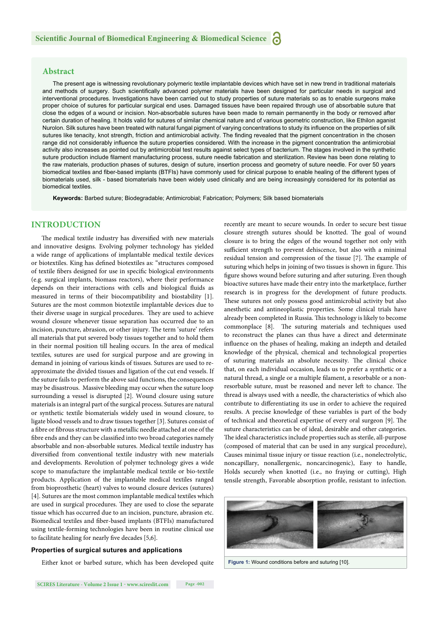#### **Abstract**

The present age is witnessing revolutionary polymeric textile implantable devices which have set in new trend in traditional materials and methods of surgery. Such scientifically advanced polymer materials have been designed for particular needs in surgical and interventional procedures. Investigations have been carried out to study properties of suture materials so as to enable surgeons make proper choice of sutures for particular surgical end uses. Damaged tissues have been repaired through use of absorbable suture that close the edges of a wound or incision. Non-absorbable sutures have been made to remain permanently in the body or removed after certain duration of healing. It holds valid for sutures of similar chemical nature and of various geometric construction, like Ethilon aganist Nurolon. Silk sutures have been treated with natural fungal pigment of varying concentrations to study its influence on the properties of silk sutures like tenacity, knot strength, friction and antimicrobial activity. The finding revealed that the pigment concentration in the chosen range did not considerably influence the suture properties considered. With the increase in the pigment concentration the antimicrobial activity also increases as pointed out by antimicrobial test results against select types of bacterium. The stages involved in the synthetic suture production include filament manufacturing process, suture needle fabrication and sterilization. Review has been done relating to the raw materials, production phases of sutures, design of suture, insertion process and geometry of suture needle. For over 50 years biomedical textiles and fiber-based implants (BTFIs) have commonly used for clinical purpose to enable healing of the different types of biomaterials used, silk - based biomaterials have been widely used clinically and are being increasingly considered for its potential as biomedical textiles.

**Keywords:** Barbed suture; Biodegradable; Antimicrobial; Fabrication; Polymers; Silk based biomaterials

#### **INTRODUCTION**

The medical textile industry has diversified with new materials and innovative designs. Evolving polymer technology has yielded a wide range of applications of implantable medical textile devices or biotextiles. King has defined biotextiles as: "structures composed of textile fibers designed for use in specific biological environments (e.g. surgical implants, biomass reactors), where their performance depends on their interactions with cells and biological fluids as measured in terms of their biocompatibility and biostability [1]. Sutures are the most common biotextile implantable devices due to their diverse usage in surgical procedures. They are used to achieve wound closure whenever tissue separation has occurred due to an incision, puncture, abrasion, or other injury. The term 'suture' refers all materials that put severed body tissues together and to hold them in their normal position till healing occurs. In the area of medical textiles, sutures are used for surgical purpose and are growing in demand in joining of various kinds of tissues. Sutures are used to reapproximate the divided tissues and ligation of the cut end vessels. If the suture fails to perform the above said functions, the consequences may be disastrous. Massive bleeding may occur when the suture loop surrounding a vessel is disrupted [2]. Wound closure using suture materials is an integral part of the surgical process. Sutures are natural or synthetic textile biomaterials widely used in wound closure, to ligate blood vessels and to draw tissues together [3]. Sutures consist of a fibre or fibrous structure with a metallic needle attached at one of the fibre ends and they can be classified into two broad categories namely absorbable and non-absorbable sutures. Medical textile industry has diversified from conventional textile industry with new materials and developments. Revolution of polymer technology gives a wide scope to manufacture the implantable medical textile or bio-textile products. Application of the implantable medical textiles ranged from bioprosthetic (heart) valves to wound closure devices (sutures) [4]. Sutures are the most common implantable medical textiles which are used in surgical procedures. They are used to close the separate tissue which has occurred due to an incision, puncture, abrasion etc. Biomedical textiles and fiber-based implants (BTFIs) manufactured using textile-forming technologies have been in routine clinical use to facilitate healing for nearly five decades [5,6].

#### **Properties of surgical sutures and applications**

Either knot or barbed suture, which has been developed quite

**SCIRES Literature - Volume 2 Issue 1 - www.scireslit.com Page -002**

recently are meant to secure wounds. In order to secure best tissue closure strength sutures should be knotted. The goal of wound closure is to bring the edges of the wound together not only with sufficient strength to prevent dehiscence, but also with a minimal residual tension and compression of the tissue [7]. The example of suturing which helps in joining of two tissues is shown in figure. This figure shows wound before suturing and after suturing. Even though bioactive sutures have made their entry into the marketplace, further research is in progress for the development of future products. These sutures not only possess good antimicrobial activity but also anesthetic and antineoplastic properties. Some clinical trials have already been completed in Russia. This technology is likely to become commonplace [8]. The suturing materials and techniques used to reconstruct the planes can thus have a direct and determinate influence on the phases of healing, making an indepth and detailed knowledge of the physical, chemical and technological properties of suturing materials an absolute necessity. The clinical choice that, on each individual occasion, leads us to prefer a synthetic or a natural thread, a single or a multiple filament, a resorbable or a nonresorbable suture, must be reasoned and never left to chance. The thread is always used with a needle, the characteristics of which also contribute to differentiating its use in order to achieve the required results. A precise knowledge of these variables is part of the body of technical and theoretical expertise of every oral surgeon [9]. The suture characteristics can be of ideal, desirable and other categories. The ideal characteristics include properties such as sterile, all-purpose (composed of material that can be used in any surgical procedure), Causes minimal tissue injury or tissue reaction (i.e., nonelectrolytic, noncapillary, nonallergenic, noncarcinogenic), Easy to handle, Holds securely when knotted (i.e., no fraying or cutting), High tensile strength, Favorable absorption profile, resistant to infection.



**Figure 1:** Wound conditions before and suturing [10].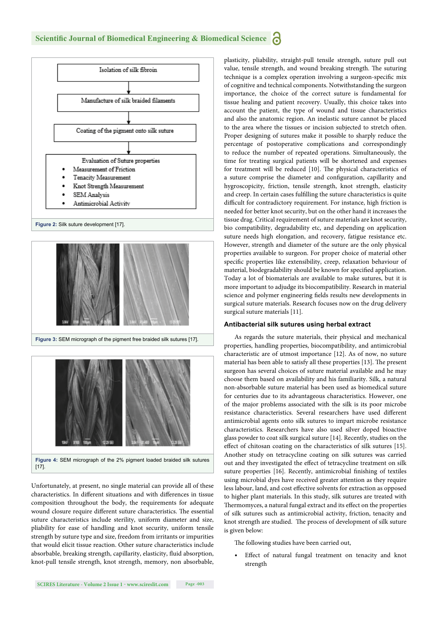

Unfortunately, at present, no single material can provide all of these characteristics. In different situations and with differences in tissue composition throughout the body, the requirements for adequate wound closure require different suture characteristics. The essential suture characteristics include sterility, uniform diameter and size, pliability for ease of handling and knot security, uniform tensile strength by suture type and size, freedom from irritants or impurities that would elicit tissue reaction. Other suture characteristics include absorbable, breaking strength, capillarity, elasticity, fluid absorption, knot-pull tensile strength, knot strength, memory, non absorbable, plasticity, pliability, straight-pull tensile strength, suture pull out value, tensile strength, and wound breaking strength. The suturing technique is a complex operation involving a surgeon-specific mix of cognitive and technical components. Notwithstanding the surgeon importance, the choice of the correct suture is fundamental for tissue healing and patient recovery. Usually, this choice takes into account the patient, the type of wound and tissue characteristics and also the anatomic region. An inelastic suture cannot be placed to the area where the tissues or incision subjected to stretch often. Proper designing of sutures make it possible to sharply reduce the percentage of postoperative complications and correspondingly to reduce the number of repeated operations. Simultaneously, the time for treating surgical patients will be shortened and expenses for treatment will be reduced [10]. The physical characteristics of a suture comprise the diameter and configuration, capillarity and hygroscopicity, friction, tensile strength, knot strength, elasticity and creep. In certain cases fulfilling the suture characteristics is quite difficult for contradictory requirement. For instance, high friction is needed for better knot security, but on the other hand it increases the tissue drag. Critical requirement of suture materials are knot security, bio compatibility, degradability etc, and depending on application suture needs high elongation, and recovery, fatigue resistance etc. However, strength and diameter of the suture are the only physical properties available to surgeon. For proper choice of material other specific properties like extensibility, creep, relaxation behaviour of material, biodegradability should be known for specified application. Today a lot of biomaterials are available to make sutures, but it is more important to adjudge its biocompatibility. Research in material science and polymer engineering fields results new developments in surgical suture materials. Research focuses now on the drug delivery surgical suture materials [11].

#### **Antibacterial silk sutures using herbal extract**

As regards the suture materials, their physical and mechanical properties, handling properties, biocompatibility, and antimicrobial characteristic are of utmost importance [12]. As of now, no suture material has been able to satisfy all these properties [13]. The present surgeon has several choices of suture material available and he may choose them based on availability and his familiarity. Silk, a natural non-absorbable suture material has been used as biomedical suture for centuries due to its advantageous characteristics. However, one of the major problems associated with the silk is its poor microbe resistance characteristics. Several researchers have used different antimicrobial agents onto silk sutures to impart microbe resistance characteristics. Researchers have also used silver doped bioactive glass powder to coat silk surgical suture [14]. Recently, studies on the effect of chitosan coating on the characteristics of silk sutures [15]. Another study on tetracycline coating on silk sutures was carried out and they investigated the effect of tetracycline treatment on silk suture properties [16]. Recently, antimicrobial finishing of textiles using microbial dyes have received greater attention as they require less labour, land, and cost effective solvents for extraction as opposed to higher plant materials. In this study, silk sutures are treated with Thermomyces, a natural fungal extract and its effect on the properties of silk sutures such as antimicrobial activity, friction, tenacity and knot strength are studied. The process of development of silk suture is given below:

The following studies have been carried out,

• Effect of natural fungal treatment on tenacity and knot strength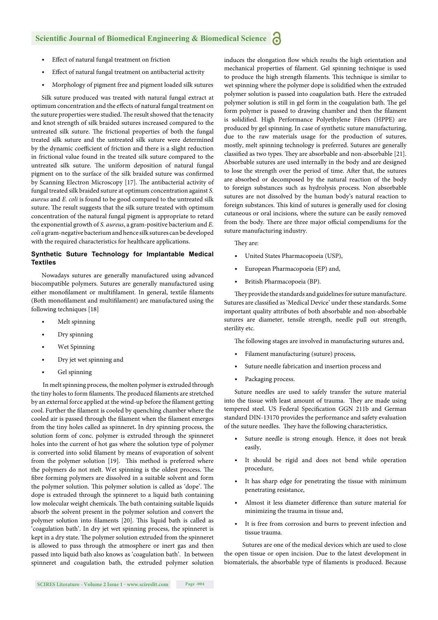- Effect of natural fungal treatment on friction
- Effect of natural fungal treatment on antibacterial activity
- Morphology of pigment free and pigment loaded silk sutures

Silk suture produced was treated with natural fungal extract at optimum concentration and the effects of natural fungal treatment on the suture properties were studied. The result showed that the tenacity and knot strength of silk braided sutures increased compared to the untreated silk suture. The frictional properties of both the fungal treated silk suture and the untreated silk suture were determined by the dynamic coefficient of friction and there is a slight reduction in frictional value found in the treated silk suture compared to the untreated silk suture. The uniform deposition of natural fungal pigment on to the surface of the silk braided suture was confirmed by Scanning Electron Microscopy [17]. The antibacterial activity of fungal treated silk braided suture at optimum concentration against *S. aureus* and *E. coli* is found to be good compared to the untreated silk suture. The result suggests that the silk suture treated with optimum concentration of the natural fungal pigment is appropriate to retard the exponential growth of *S. aureus*, a gram-positive bacterium and *E. coli* a gram-negative bacterium and hence silk sutures can be developed with the required characteristics for healthcare applications.

#### **Synthetic Suture Technology for Implantable Medical Textiles**

Nowadays sutures are generally manufactured using advanced biocompatible polymers. Sutures are generally manufactured using either monofilament or multifilament. In general, textile filaments (Both monofilament and multifilament) are manufactured using the following techniques [18]

- Melt spinning
- Dry spinning
- Wet Spinning
- Dry jet wet spinning and
- Gel spinning

 In melt spinning process, the molten polymer is extruded through the tiny holes to form filaments. The produced filaments are stretched by an external force applied at the wind-up before the filament getting cool. Further the filament is cooled by quenching chamber where the cooled air is passed through the filament when the filament emerges from the tiny holes called as spinneret**.** In dry spinning process, the solution form of conc. polymer is extruded through the spinneret holes into the current of hot gas where the solution type of polymer is converted into solid filament by means of evaporation of solvent from the polymer solution [19]. This method is preferred where the polymers do not melt. Wet spinning is the oldest process. The fibre forming polymers are dissolved in a suitable solvent and form the polymer solution. This polymer solution is called as 'dope'. The dope is extruded through the spinneret to a liquid bath containing low molecular weight chemicals. The bath containing suitable liquids absorb the solvent present in the polymer solution and convert the polymer solution into filaments [20]. This liquid bath is called as 'coagulation bath'. In dry jet wet spinning process, the spinneret is kept in a dry state. The polymer solution extruded from the spinneret is allowed to pass through the atmosphere or inert gas and then passed into liquid bath also knows as 'coagulation bath'. In between spinneret and coagulation bath, the extruded polymer solution induces the elongation flow which results the high orientation and mechanical properties of filament. Gel spinning technique is used to produce the high strength filaments. This technique is similar to wet spinning where the polymer dope is solidified when the extruded polymer solution is passed into coagulation bath. Here the extruded polymer solution is still in gel form in the coagulation bath. The gel form polymer is passed to drawing chamber and then the filament is solidified. High Performance Polyethylene Fibers (HPPE) are produced by gel spinning. In case of synthetic suture manufacturing, due to the raw materials usage for the production of sutures, mostly, melt spinning technology is preferred. Sutures are generally classified as two types. They are absorbable and non-absorbable [21]. Absorbable sutures are used internally in the body and are designed to lose the strength over the period of time. After that, the sutures are absorbed or decomposed by the natural reaction of the body to foreign substances such as hydrolysis process. Non absorbable sutures are not dissolved by the human body's natural reaction to foreign substances. This kind of sutures is generally used for closing cutaneous or oral incisions, where the suture can be easily removed from the body. There are three major official compendiums for the suture manufacturing industry.

They are:

- United States Pharmacopoeia (USP),
- European Pharmacopoeia (EP) and,
- British Pharmacopoeia (BP).

They provide the standards and guidelines for suture manufacture. Sutures are classified as 'Medical Device' under these standards. Some important quality attributes of both absorbable and non-absorbable sutures are diameter, tensile strength, needle pull out strength, sterility etc.

The following stages are involved in manufacturing sutures and,

- Filament manufacturing (suture) process,
- Suture needle fabrication and insertion process and
- Packaging process.

Suture needles are used to safely transfer the suture material into the tissue with least amount of trauma. They are made using tempered steel. US Federal Specification GGN 211b and German standard DIN-13170 provides the performance and safety evaluation of the suture needles. They have the following characteristics,

- Suture needle is strong enough. Hence, it does not break easily,
- It should be rigid and does not bend while operation procedure,
- It has sharp edge for penetrating the tissue with minimum penetrating resistance,
- Almost it less diameter difference than suture material for minimizing the trauma in tissue and,
- It is free from corrosion and burrs to prevent infection and tissue trauma.

 Sutures are one of the medical devices which are used to close the open tissue or open incision. Due to the latest development in biomaterials, the absorbable type of filaments is produced. Because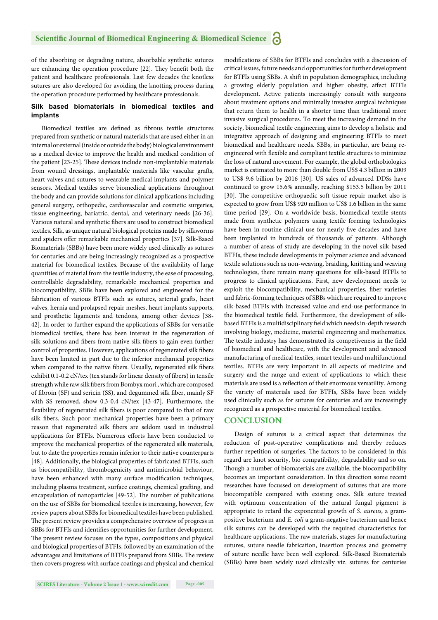of the absorbing or degrading nature, absorbable synthetic sutures are enhancing the operation procedure [22]. They benefit both the patient and healthcare professionals. Last few decades the knotless sutures are also developed for avoiding the knotting process during the operation procedure performed by healthcare professionals.

#### **Silk based biomaterials in biomedical textiles and implants**

Biomedical textiles are defined as fibrous textile structures prepared from synthetic or natural materials that are used either in an internal or external (inside or outside the body) biological environment as a medical device to improve the health and medical condition of the patient [23-25]. These devices include non-implantable materials from wound dressings, implantable materials like vascular grafts, heart valves and sutures to wearable medical implants and polymer sensors. Medical textiles serve biomedical applications throughout the body and can provide solutions for clinical applications including general surgery, orthopedic, cardiovascular and cosmetic surgeries, tissue engineering, bariatric, dental, and veterinary needs [26-36]. Various natural and synthetic fibers are used to construct biomedical textiles. Silk, as unique natural biological proteins made by silkworms and spiders offer remarkable mechanical properties [37]. Silk-Based Biomaterials (SBBs) have been more widely used clinically as sutures for centuries and are being increasingly recognized as a prospective material for biomedical textiles. Because of the availability of large quantities of material from the textile industry, the ease of processing, controllable degradability, remarkable mechanical properties and biocompatibility, SBBs have been explored and engineered for the fabrication of various BTFIs such as sutures, arterial grafts, heart valves, hernia and prolapsed repair meshes, heart implants supports, and prosthetic ligaments and tendons, among other devices [38- 42]. In order to further expand the applications of SBBs for versatile biomedical textiles, there has been interest in the regeneration of silk solutions and fibers from native silk fibers to gain even further control of properties. However, applications of regenerated silk fibers have been limited in part due to the inferior mechanical properties when compared to the native fibers. Usually, regenerated silk fibers exhibit 0.1-0.2 cN/tex (tex stands for linear density of fibers) in tensile strength while raw silk fibers from Bombyx mori, which are composed of fibroin (SF) and sericin (SS), and degummed silk fiber, mainly SF with SS removed, show 0.3-0.4 cN/tex [43-47]. Furthermore, the flexibility of regenerated silk fibers is poor compared to that of raw silk fibers. Such poor mechanical properties have been a primary reason that regenerated silk fibers are seldom used in industrial applications for BTFIs. Numerous efforts have been conducted to improve the mechanical properties of the regenerated silk materials, but to date the properties remain inferior to their native counterparts [48]. Additionally, the biological properties of fabricated BTFIs, such as biocompatibility, thrombogenicity and antimicrobial behaviour, have been enhanced with many surface modification techniques, including plasma treatment, surface coatings, chemical grafting, and encapsulation of nanoparticles [49-52]. The number of publications on the use of SBBs for biomedical textiles is increasing, however, few review papers about SBBs for biomedical textiles have been published. The present review provides a comprehensive overview of progress in SBBs for BTFIs and identifies opportunities for further development. The present review focuses on the types, compositions and physical and biological properties of BTFIs, followed by an examination of the advantages and limitations of BTFIs prepared from SBBs. The review then covers progress with surface coatings and physical and chemical critical issues, future needs and opportunities for further development for BTFIs using SBBs. A shift in population demographics, including a growing elderly population and higher obesity, affect BTFIs development. Active patients increasingly consult with surgeons about treatment options and minimally invasive surgical techniques that return them to health in a shorter time than traditional more invasive surgical procedures. To meet the increasing demand in the society, biomedical textile engineering aims to develop a holistic and integrative approach of designing and engineering BTFIs to meet biomedical and healthcare needs. SBBs, in particular, are being reengineered with flexible and compliant textile structures to minimize the loss of natural movement. For example, the global orthobiologics market is estimated to more than double from US\$ 4.3 billion in 2009 to US\$ 9.6 billion by 2016 [30]. US sales of advanced DDSs have continued to grow 15.6% annually, reaching \$153.5 billion by 2011 [30]. The competitive orthopaedic soft tissue repair market also is expected to grow from US\$ 920 million to US\$ 1.6 billion in the same time period [29]. On a worldwide basis, biomedical textile stents made from synthetic polymers using textile forming technologies have been in routine clinical use for nearly five decades and have been implanted in hundreds of thousands of patients. Although a number of areas of study are developing in the novel silk-based BTFIs, these include developments in polymer science and advanced textile solutions such as non-weaving, braiding, knitting and weaving technologies, there remain many questions for silk-based BTFIs to progress to clinical applications. First, new development needs to exploit the biocompatibility, mechanical properties, fiber varieties and fabric-forming techniques of SBBs which are required to improve silk-based BTFIs with increased value and end-use performance in the biomedical textile field. Furthermore, the development of silkbased BTFIs is a multidisciplinary field which needs in-depth research involving biology, medicine, material engineering and mathematics. The textile industry has demonstrated its competiveness in the field of biomedical and healthcare, with the development and advanced manufacturing of medical textiles, smart textiles and multifunctional textiles. BTFIs are very important in all aspects of medicine and surgery and the range and extent of applications to which these materials are used is a reflection of their enormous versatility. Among the variety of materials used for BTFIs, SBBs have been widely used clinically such as for sutures for centuries and are increasingly recognized as a prospective material for biomedical textiles.

modifications of SBBs for BTFIs and concludes with a discussion of

#### **CONCLUSION**

Design of sutures is a critical aspect that determines the reduction of post-operative complications and thereby reduces further repetition of surgeries. The factors to be considered in this regard are knot security, bio compatibility, degradability and so on. Though a number of biomaterials are available, the biocompatibility becomes an important consideration. In this direction some recent researches have focussed on development of sutures that are more biocompatible compared with existing ones. Silk suture treated with optimum concentration of the natural fungal pigment is appropriate to retard the exponential growth of *S. aureus*, a grampositive bacterium and *E. coli* a gram-negative bacterium and hence silk sutures can be developed with the required characteristics for healthcare applications. The raw materials, stages for manufacturing sutures, suture needle fabrication, insertion process and geometry of suture needle have been well explored. Silk-Based Biomaterials (SBBs) have been widely used clinically viz. sutures for centuries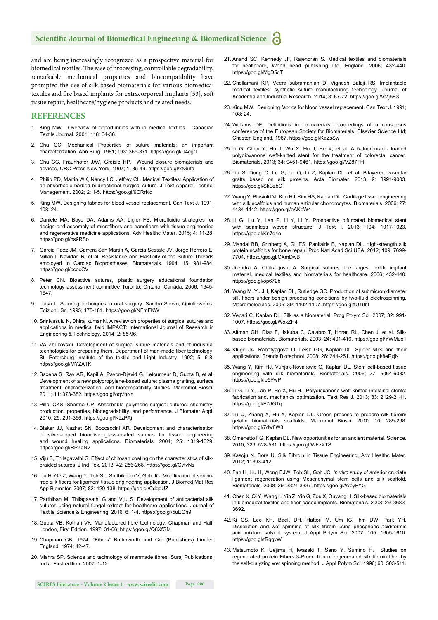#### **Scientific Journal of Biomedical Engineering & Biomedical Science**

and are being increasingly recognized as a prospective material for biomedical textiles. The ease of processing, controllable degradability, remarkable mechanical properties and biocompatibility have prompted the use of silk based biomaterials for various biomedical textiles and fire based implants for extracorporeal implants [53], soft tissue repair, healthcare/hygiene products and related needs.

#### **REFERENCES**

- 1. King MW. Overview of opportunities with in medical textiles. Canadian Textile Journal. 2001; 118: 34-36.
- 2. Chu CC. Mechanical Properties of suture materials: an important characterization. Ann Surg. 1981; 193: 365-371. https://goo.gl/U4cgtT
- 3. Chu CC. Fraunhofer JAV, Greisle HP. Wound closure biomaterials and devices, CRC Press New York. 1997; 1: 35-49. https://goo.gl/xtGufd
- 4. Philip PD, Martin WK, Nancy LC, Jeffrey CL. Medical Textiles: Application of an absorbable barbed bi-directional surgical suture. J Text Apparel Technol Management. 2002; 2: 1-5. https://goo.gl/9CRrNd
- 5. King MW. Designing fabrics for blood vessel replacement. Can Text J. 1991;  $108:24$
- 6. Daniele MA, Boyd DA, Adams AA, Ligler FS. Microfluidic strategies for design and assembly of microfibers and nanofibers with tissue engineering and regenerative medicine applications. Adv Healthc Mater. 2015; 4: 11-28. https://goo.gl/ns9RSo
- 7. Garcia Paez JM, Carrera San Martin A, Garcia Sestafe JV, Jorge Herrero E, Millan I, Navidad R, et al, Resistance and Elasticity of the Suture Threads employed In Cardiac Bioprostheses. Biomaterials. 1994; 15: 981-984. https://goo.gl/pcocCV
- 8. Peter CN. Bioactive sutures, plastic surgery educational foundation technology assessment committee Toronto, Ontario, Canada. 2006; 1645- 1647.
- 9. Luisa L. Suturing techniques in oral surgery. Sandro Siervo; Quintessenza Edizioni. Srl. 1995; 175-181. https://goo.gl/NFmFKW
- 10. Srinivasulu K, Dhiraj kumar N. A review on properties of surgical sutures and applications in medical field IMPACT: International Journal of Research in Engineering & Technology. 2014; 2: 85-96.
- 11. VA Zhukovskii. Development of surgical suture materials and of industrial technologies for preparing them. Department of man-made fiber technology. St. Petersburg Institute of the textile and Light Industry. 1992; 5: 6-8. https://goo.gl/MYZATK
- 12. Saxena S, Ray AR, Kapil A, Pavon-Djavid G, Letourneur D, Gupta B, et al. Development of a new polypropylene-based suture: plasma grafting, surface treatment, characterization, and biocompatibility studies. Macromol Biosci. 2011; 11: 373-382. https://goo.gl/oqVhKn
- 13. Pillai CKS, Sharma CP. Absorbable polymeric surgical sutures: chemistry, production, properties, biodegradability, and performance. J Biomater Appl. 2010; 25: 291-366. https://goo.gl/NJzPAj
- 14. Blaker JJ, Nazhat SN, Boccaccini AR. Development and characterisation of silver-doped bioactive glass-coated sutures for tissue engineering and wound healing applications. Biomaterials. 2004; 25: 1319-1329. https://goo.gl/RPZqNv
- 15. Viju S, Thilagavathi G. Effect of chitosan coating on the characteristics of silkbraided sutures. J Ind Tex. 2013; 42: 256-268. https://goo.gl/GvtvNs
- 16. Liu H, Ge Z, Wang Y, Toh SL, Sutthikhum V, Goh JC. Modification of sericinfree silk fibers for ligament tissue engineering application. J Biomed Mat Res App Biomater. 2007; 82: 129-138. https://goo.gl/CdqqUZ
- 17. Parthiban M, Thilagavathi G and Viju S, Development of antibacterial silk sutures using natural fungal extract for healthcare applications. Journal of Textile Science & Engineering. 2016; 6: 1-4. https://goo.gl/5uEQn9
- 18. Gupta VB, Kothari VK. Manufactured fibre technology. Chapman and Hall; London, First Edition. 1997: 31-66. https://goo.gl/Q8XfGM
- 19. Chapman CB. 1974. "Fibres" Butterworth and Co. (Publishers) Limited England. 1974; 42-47.
- 20. Mishra SP. Science and technology of manmade fibres. Suraj Publications; India. First edition. 2007; 1-12.
- 21. Anand SC, Kennedy JF, Rajendran S. Medical textiles and biomaterials for healthcare, Wood head publishing Ltd. England. 2006; 432-440. https://goo.gl/MgD5dT
- 22. Chellamani KP, Veera subramanian D, Vignesh Balaji RS. Implantable medical textiles: synthetic suture manufacturing technology. Journal of Academia and Industrial Research. 2014; 3: 67-72. https://goo.gl/VMj5E3
- 23. King MW. Designing fabrics for blood vessel replacement. Can Text J. 1991; 108: 24.
- 24. Williams DF. Definitions in biomaterials: proceedings of a consensus conference of the European Society for Biomaterials. Elsevier Science Ltd; Chester, England. 1987. https://goo.gl/KaZsSw
- 25. Li G, Chen Y, Hu J, Wu X, Hu J, He X, et al. A 5-fluorouracil- loaded polydioxanone weft-knitted stent for the treatment of colorectal cancer. Biomaterials. 2013; 34: 9451-9461. https://goo.gl/VZ87FH
- 26. Liu S, Dong C, Lu G, Lu Q, Li Z, Kaplan DL, et al. Bilayered vascular grafts based on silk proteins. Acta Biomater. 2013; 9: 8991-9003. https://goo.gl/SkCzbC
- 27. Wang Y, Blasioli DJ, Kim HJ, Kim HS, Kaplan DL. Cartilage tissue engineering with silk scaffolds and human articular chondrocytes. Biomaterials. 2006; 27: 4434-4442. https://goo.gl/eAKeW4
- 28. Li G, Liu Y, Lan P, Li Y, Li Y. Prospective bifurcated biomedical stent with seamless woven structure. J Text I. 2013; 104: 1017-1023. https://goo.gl/Kn7d4e
- 29. Mandal BB, Grinberg A, Gil ES, Panilaitis B, Kaplan DL. High-strength silk protein scaffolds for bone repair. Proc Natl Acad Sci USA. 2012; 109: 7699- 7704. https://goo.gl/CXmDwB
- 30. Jitendra A, Chitra joshi A. Surgical sutures: the largest textile implant material. medical textiles and biomaterials for healthcare. 2006; 432-440. https://goo.gl/op672b
- 31. Wang M, Yu JH, Kaplan DL, Rutledge GC. Production of submicron diameter silk fibers under benign processing conditions by two-fluid electrospinning. Macromolecules. 2006; 39: 1102-1107. https://goo.gl/fU19bf
- 32. Vepari C, Kaplan DL. Silk as a biomaterial. Prog Polym Sci. 2007; 32: 991- 1007. https://goo.gl/WoxZH4
- 33. Altman GH, Diaz F, Jakuba C, Calabro T, Horan RL, Chen J, et al. Silkbased biomaterials. Biomaterials. 2003; 24: 401-416. https://goo.gl/YWMuo1
- 34. Kluge JA, Rabotyagova O, Leisk GG, Kaplan DL. Spider silks and their applications. Trends Biotechnol. 2008; 26: 244-251. https://goo.gl/8ePxjK
- 35. Wang Y, Kim HJ, Vunjak-Novakovic G, Kaplan DL. Stem cell-based tissue engineering with silk biomaterials*.* Biomaterials. 2006; 27: 6064-6082. https://goo.gl/fe5PwP
- 36. Li G, Li Y, Lan P, He X, Hu H. Polydioxanone weft-knitted intestinal stents: fabrication and. mechanics optimization. Text Res J. 2013; 83: 2129-2141. https://goo.gl/F7dGTq
- 37. Lu Q, Zhang X, Hu X, Kaplan DL. Green process to prepare silk fibroin/ gelatin biomaterials scaffolds. Macromol Biosci. 2010; 10: 289-298. https://goo.gl/7dw8W3
- 38. Omenetto FG, Kaplan DL. New opportunities for an ancient material. Science. 2010; 329: 528-531. https://goo.gl/WFzXTS
- 39. Kasoju N, Bora U. Silk Fibroin in Tissue Engineering, Adv Healthc Mater. 2012; 1: 393-412.
- 40. Fan H, Liu H, Wong EJW, Toh SL, Goh JC. *In vivo* study of anterior cruciate ligament regeneration using Mesenchymal stem cells and silk scaffold. Biomaterials. 2008; 29: 3324-3337. https://goo.gl/WbyFYG
- 41. Chen X, Qi Y, Wang L, Yin Z, Yin G, Zou X, Ouyang H. Silk-based biomaterials in biomedical textiles and fiber-based implants. Biomaterials. 2008; 29: 3683-3692.
- 42. Ki CS, Lee KH, Baek DH, Hattori M, Um IC, Ihm DW, Park YH. Dissolution and wet spinning of silk fibroin using phosphoric acid/formic acid mixture solvent system. J Appl Polym Sci. 2007; 105: 1605-1610. https://goo.gl/tRqgvW
- 43. Matsumoto K, Uejima H, Iwasaki T, Sano Y, Sumino H. Studies on regenerated protein Fibers 3-Production of regenerated silk fibroin fiber by the self-dialyzing wet spinning method. J Appl Polym Sci. 1996; 60: 503-511.